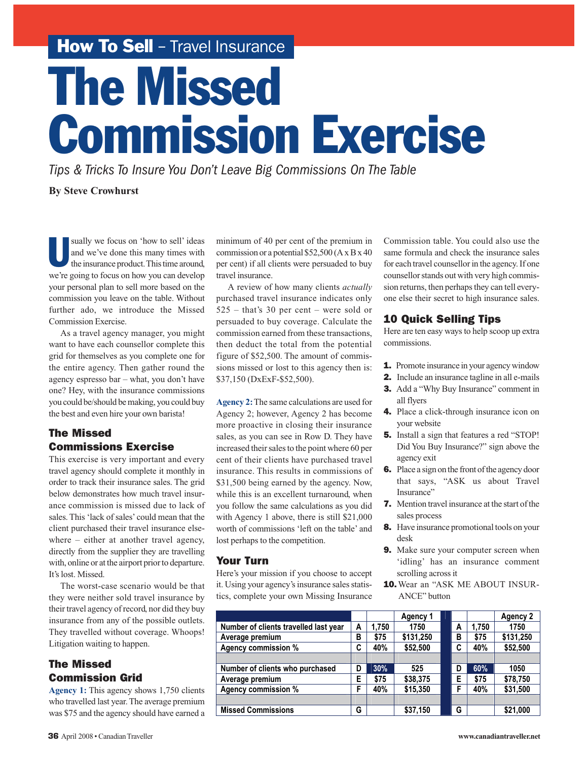How To Sell - Travel Insurance

# The Missed Commission Exercise

*Tips & Tricks To Insure You Don't Leave Big Commissions On The Table*

**By Steve Crowhurst**

sually we focus on 'how to sell' ideas<br>and we've done this many times with<br>the insurance product. This time around, and we've done this many times with the insurance product. This time around, we're going to focus on how you can develop your personal plan to sell more based on the commission you leave on the table. Without further ado, we introduce the Missed Commission Exercise.

As a travel agency manager, you might want to have each counsellor complete this grid for themselves as you complete one for the entire agency. Then gather round the agency espresso bar – what, you don't have one? Hey, with the insurance commissions you could be/should be making, you could buy the best and even hire your own barista!

#### The Missed Commissions Exercise

This exercise is very important and every travel agency should complete it monthly in order to track their insurance sales. The grid below demonstrates how much travel insurance commission is missed due to lack of sales. This 'lack of sales' could mean that the client purchased their travel insurance elsewhere – either at another travel agency, directly from the supplier they are travelling with, online or at the airport prior to departure. It's lost. Missed.

The worst-case scenario would be that they were neither sold travel insurance by their travel agency of record, nor did they buy insurance from any of the possible outlets. They travelled without coverage. Whoops! Litigation waiting to happen.

# The Missed Commission Grid

**Agency 1:** This agency shows 1,750 clients who travelled last year. The average premium was \$75 and the agency should have earned a

minimum of 40 per cent of the premium in commission or a potential \$52,500 (A x B x 40 per cent) if all clients were persuaded to buy travel insurance.

A review of how many clients *actually* purchased travel insurance indicates only 525 – that's 30 per cent – were sold or persuaded to buy coverage. Calculate the commission earned from these transactions, then deduct the total from the potential figure of \$52,500. The amount of commissions missed or lost to this agency then is: \$37,150 (DxExF-\$52,500).

**Agency 2:**The same calculations are used for Agency 2; however, Agency 2 has become more proactive in closing their insurance sales, as you can see in Row D. They have increased their sales to the point where 60 per cent of their clients have purchased travel insurance. This results in commissions of \$31,500 being earned by the agency. Now, while this is an excellent turnaround, when you follow the same calculations as you did with Agency 1 above, there is still \$21,000 worth of commissions 'left on the table' and lost perhaps to the competition.

#### Your Turn

Here's your mission if you choose to accept it. Using your agency's insurance sales statistics, complete your own Missing Insurance Commission table. You could also use the same formula and check the insurance sales for each travel counsellor in the agency. If one counsellor stands out with very high commission returns, then perhaps they can tell everyone else their secret to high insurance sales.

## 10 Quick Selling Tips

Here are ten easy ways to help scoop up extra commissions.

- **1.** Promote insurance in your agency window
- 2. Include an insurance tagline in all e-mails
- **3.** Add a "Why Buy Insurance" comment in all flyers
- 4. Place a click-through insurance icon on your website
- 5. Install a sign that features a red "STOP! Did You Buy Insurance?" sign above the agency exit
- 6. Place a sign on the front of the agency door that says, "ASK us about Travel Insurance"
- 7. Mention travel insurance at the start of the sales process
- 8. Have insurance promotional tools on your desk
- 9. Make sure your computer screen when 'idling' has an insurance comment scrolling across it
- 10. Wear an "ASK ME ABOUT INSUR-ANCE" button

|                                       |   |       | Agency 1  |   |       | <b>Agency 2</b> |
|---------------------------------------|---|-------|-----------|---|-------|-----------------|
| Number of clients travelled last year | A | 1.750 | 1750      | A | 1.750 | 1750            |
| Average premium                       | в | \$75  | \$131,250 | в | \$75  | \$131,250       |
| <b>Agency commission %</b>            | C | 40%   | \$52,500  | C | 40%   | \$52,500        |
|                                       |   |       |           |   |       |                 |
| Number of clients who purchased       | D | 30%   | 525       | D | 60%   | 1050            |
| Average premium                       | Е | \$75  | \$38,375  | Е | \$75  | \$78,750        |
| <b>Agency commission %</b>            | F | 40%   | \$15,350  | F | 40%   | \$31,500        |
|                                       |   |       |           |   |       |                 |
| <b>Missed Commissions</b>             | G |       | \$37,150  | G |       | \$21,000        |